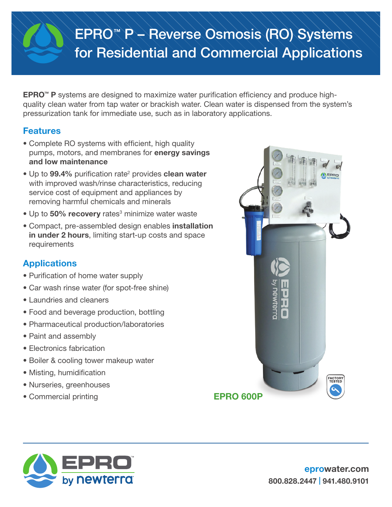# EPRO™ P – Reverse Osmosis (RO) Systems for Residential and Commercial Applications

**EPRO™ P** systems are designed to maximize water purification efficiency and produce highquality clean water from tap water or brackish water. Clean water is dispensed from the system's pressurization tank for immediate use, such as in laboratory applications.

## Features

- Complete RO systems with efficient, high quality pumps, motors, and membranes for energy savings and low maintenance
- Up to 99.4% purification rate<sup>2</sup> provides clean water with improved wash/rinse characteristics, reducing service cost of equipment and appliances by removing harmful chemicals and minerals
- Up to 50% recovery rates<sup>3</sup> minimize water waste
- Compact, pre-assembled design enables installation in under 2 hours, limiting start-up costs and space requirements

## **Applications**

- Purification of home water supply
- Car wash rinse water (for spot-free shine)
- Laundries and cleaners
- Food and beverage production, bottling
- Pharmaceutical production/laboratories
- Paint and assembly
- Electronics fabrication
- Boiler & cooling tower makeup water
- Misting, humidification
- Nurseries, greenhouses
- Commercial printing **EPRO 600P**